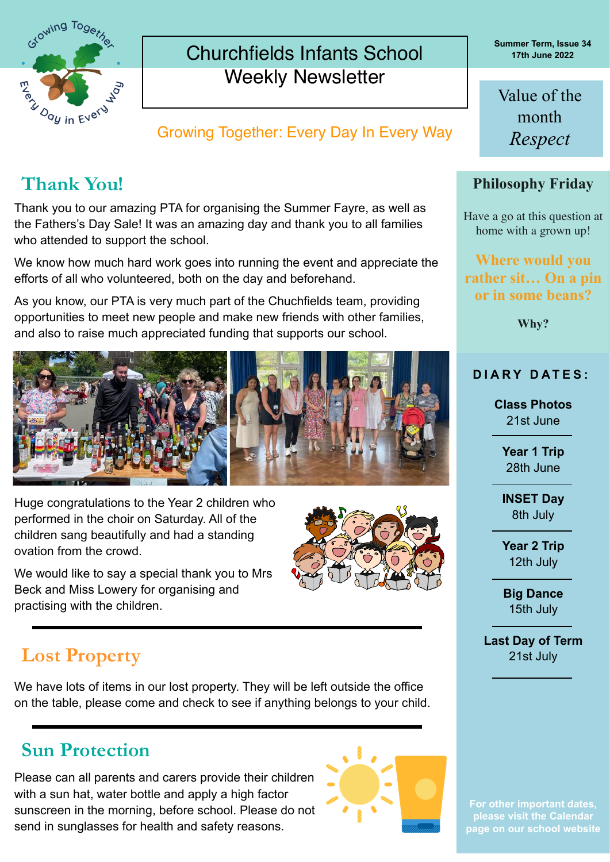

## Churchfields Infants School Weekly Newsletter

**Growing Together: Every Day In Every Way** Respect

Thank you to our amazing PTA for organising the Summer Fayre, as well as the Fathers's Day Sale! It was an amazing day and thank you to all families who attended to support the school.

We know how much hard work goes into running the event and appreciate the efforts of all who volunteered, both on the day and beforehand.

As you know, our PTA is very much part of the Chuchfields team, providing opportunities to meet new people and make new friends with other families, and also to raise much appreciated funding that supports our school.



Huge congratulations to the Year 2 children who performed in the choir on Saturday. All of the children sang beautifully and had a standing ovation from the crowd.



We would like to say a special thank you to Mrs Beck and Miss Lowery for organising and practising with the children.

# **Lost Property**

We have lots of items in our lost property. They will be left outside the office on the table, please come and check to see if anything belongs to your child.

## **Sun Protection**

Please can all parents and carers provide their children with a sun hat, water bottle and apply a high factor sunscreen in the morning, before school. Please do not send in sunglasses for health and safety reasons.



**Summer Term, Issue 34 17th June 2022**

Value of the month

#### **Thank You! Philosophy Friday**

Have a go at this question at home with a grown up!

**Where would you rather sit… On a pin or in some beans?**

**Why?**

#### **DIARY DATES:**

**Class Photos** 21st June

> **Year 1 Trip** 28th June

> **INSET Day**  8th July

> **Year 2 Trip** 12th July

**Big Dance** 15th July

**Last Day of Term** 21st July

**page on our school website**